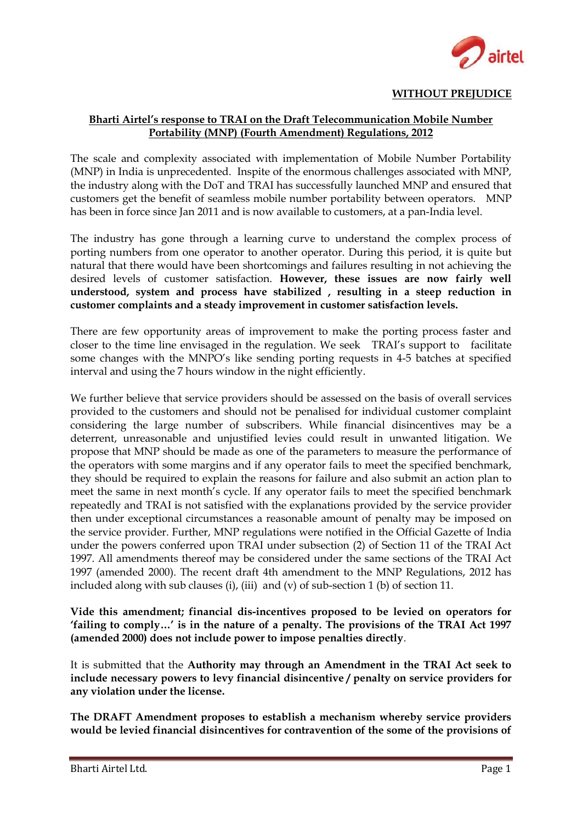

## **WITHOUT PREJUDICE**

## **Bharti Airtel"s response to TRAI on the Draft Telecommunication Mobile Number Portability (MNP) (Fourth Amendment) Regulations, 2012**

The scale and complexity associated with implementation of Mobile Number Portability (MNP) in India is unprecedented. Inspite of the enormous challenges associated with MNP, the industry along with the DoT and TRAI has successfully launched MNP and ensured that customers get the benefit of seamless mobile number portability between operators. MNP has been in force since Jan 2011 and is now available to customers, at a pan-India level.

The industry has gone through a learning curve to understand the complex process of porting numbers from one operator to another operator. During this period, it is quite but natural that there would have been shortcomings and failures resulting in not achieving the desired levels of customer satisfaction. **However, these issues are now fairly well understood, system and process have stabilized , resulting in a steep reduction in customer complaints and a steady improvement in customer satisfaction levels.**

There are few opportunity areas of improvement to make the porting process faster and closer to the time line envisaged in the regulation. We seek TRAI's support to facilitate some changes with the MNPO's like sending porting requests in 4-5 batches at specified interval and using the 7 hours window in the night efficiently.

We further believe that service providers should be assessed on the basis of overall services provided to the customers and should not be penalised for individual customer complaint considering the large number of subscribers. While financial disincentives may be a deterrent, unreasonable and unjustified levies could result in unwanted litigation. We propose that MNP should be made as one of the parameters to measure the performance of the operators with some margins and if any operator fails to meet the specified benchmark, they should be required to explain the reasons for failure and also submit an action plan to meet the same in next month's cycle. If any operator fails to meet the specified benchmark repeatedly and TRAI is not satisfied with the explanations provided by the service provider then under exceptional circumstances a reasonable amount of penalty may be imposed on the service provider. Further, MNP regulations were notified in the Official Gazette of India under the powers conferred upon TRAI under subsection (2) of Section 11 of the TRAI Act 1997. All amendments thereof may be considered under the same sections of the TRAI Act 1997 (amended 2000). The recent draft 4th amendment to the MNP Regulations, 2012 has included along with sub clauses (i), (iii) and (v) of sub-section 1 (b) of section 11.

**Vide this amendment; financial dis-incentives proposed to be levied on operators for "failing to comply…" is in the nature of a penalty. The provisions of the TRAI Act 1997 (amended 2000) does not include power to impose penalties directly**.

It is submitted that the **Authority may through an Amendment in the TRAI Act seek to include necessary powers to levy financial disincentive / penalty on service providers for any violation under the license.**

**The DRAFT Amendment proposes to establish a mechanism whereby service providers would be levied financial disincentives for contravention of the some of the provisions of**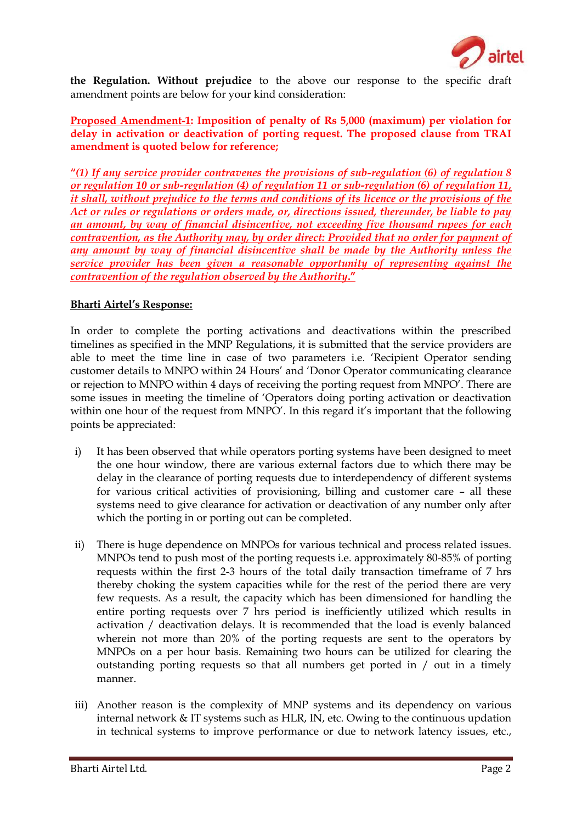

**the Regulation. Without prejudice** to the above our response to the specific draft amendment points are below for your kind consideration:

## **Proposed Amendment-1: Imposition of penalty of Rs 5,000 (maximum) per violation for delay in activation or deactivation of porting request. The proposed clause from TRAI amendment is quoted below for reference;**

**"***(1) If any service provider contravenes the provisions of sub-regulation (6) of regulation 8 or regulation 10 or sub-regulation (4) of regulation 11 or sub-regulation (6) of regulation 11, it shall, without prejudice to the terms and conditions of its licence or the provisions of the Act or rules or regulations or orders made, or, directions issued, thereunder, be liable to pay an amount, by way of financial disincentive, not exceeding five thousand rupees for each contravention, as the Authority may, by order direct: Provided that no order for payment of any amount by way of financial disincentive shall be made by the Authority unless the service provider has been given a reasonable opportunity of representing against the contravention of the regulation observed by the Authority***."**

### **Bharti Airtel"s Response:**

In order to complete the porting activations and deactivations within the prescribed timelines as specified in the MNP Regulations, it is submitted that the service providers are able to meet the time line in case of two parameters i.e. 'Recipient Operator sending customer details to MNPO within 24 Hours' and 'Donor Operator communicating clearance or rejection to MNPO within 4 days of receiving the porting request from MNPO'. There are some issues in meeting the timeline of 'Operators doing porting activation or deactivation within one hour of the request from MNPO'. In this regard it's important that the following points be appreciated:

- i) It has been observed that while operators porting systems have been designed to meet the one hour window, there are various external factors due to which there may be delay in the clearance of porting requests due to interdependency of different systems for various critical activities of provisioning, billing and customer care – all these systems need to give clearance for activation or deactivation of any number only after which the porting in or porting out can be completed.
- ii) There is huge dependence on MNPOs for various technical and process related issues. MNPOs tend to push most of the porting requests i.e. approximately 80-85% of porting requests within the first 2-3 hours of the total daily transaction timeframe of 7 hrs thereby choking the system capacities while for the rest of the period there are very few requests. As a result, the capacity which has been dimensioned for handling the entire porting requests over 7 hrs period is inefficiently utilized which results in activation / deactivation delays. It is recommended that the load is evenly balanced wherein not more than 20% of the porting requests are sent to the operators by MNPOs on a per hour basis. Remaining two hours can be utilized for clearing the outstanding porting requests so that all numbers get ported in / out in a timely manner.
- iii) Another reason is the complexity of MNP systems and its dependency on various internal network & IT systems such as HLR, IN, etc. Owing to the continuous updation in technical systems to improve performance or due to network latency issues, etc.,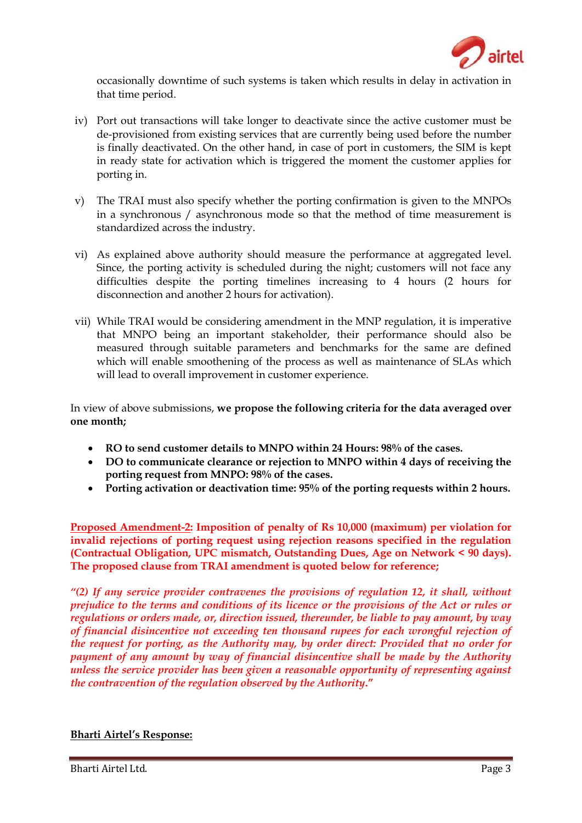

occasionally downtime of such systems is taken which results in delay in activation in that time period.

- iv) Port out transactions will take longer to deactivate since the active customer must be de-provisioned from existing services that are currently being used before the number is finally deactivated. On the other hand, in case of port in customers, the SIM is kept in ready state for activation which is triggered the moment the customer applies for porting in.
- v) The TRAI must also specify whether the porting confirmation is given to the MNPOs in a synchronous / asynchronous mode so that the method of time measurement is standardized across the industry.
- vi) As explained above authority should measure the performance at aggregated level. Since, the porting activity is scheduled during the night; customers will not face any difficulties despite the porting timelines increasing to 4 hours (2 hours for disconnection and another 2 hours for activation).
- vii) While TRAI would be considering amendment in the MNP regulation, it is imperative that MNPO being an important stakeholder, their performance should also be measured through suitable parameters and benchmarks for the same are defined which will enable smoothening of the process as well as maintenance of SLAs which will lead to overall improvement in customer experience.

In view of above submissions, **we propose the following criteria for the data averaged over one month;**

- **RO to send customer details to MNPO within 24 Hours: 98% of the cases.**
- **DO to communicate clearance or rejection to MNPO within 4 days of receiving the porting request from MNPO: 98% of the cases.**
- **Porting activation or deactivation time: 95% of the porting requests within 2 hours.**

**Proposed Amendment-2: Imposition of penalty of Rs 10,000 (maximum) per violation for invalid rejections of porting request using rejection reasons specified in the regulation (Contractual Obligation, UPC mismatch, Outstanding Dues, Age on Network < 90 days). The proposed clause from TRAI amendment is quoted below for reference;**

*"(2) If any service provider contravenes the provisions of regulation 12, it shall, without prejudice to the terms and conditions of its licence or the provisions of the Act or rules or regulations or orders made, or, direction issued, thereunder, be liable to pay amount, by way of financial disincentive not exceeding ten thousand rupees for each wrongful rejection of the request for porting, as the Authority may, by order direct: Provided that no order for payment of any amount by way of financial disincentive shall be made by the Authority unless the service provider has been given a reasonable opportunity of representing against the contravention of the regulation observed by the Authority***."**

# **Bharti Airtel"s Response:**